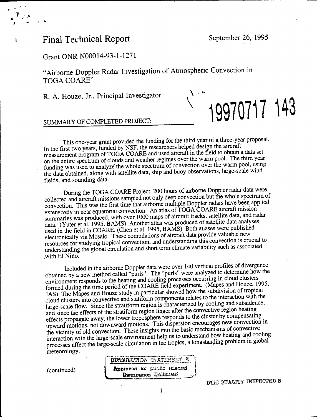# Final Technical Report September 26, 1995

*1* **\***

**19970717 143**

## Grant ONR N00014-93-1-1271

"Airborne Doppier Radar Investigation of Atmospheric Convection in TOGA COARE"

R. A. Houze, Jr., Principal Investigator \

## SUMMARY OF COMPLETED PROJECT:

This one-year grant provided the funding for the third year of a three-year proposal. In the first two years, funded by NSF, the researchers helped design the aircraft measurement program of TOGA COARE and used aircraft in the field to obtain a data set on the entire spectrum of clouds and weather regimes over the warm pool. The third year funding was used to analyze the whole spectrum of convection over the warm pool, using the data obtained, along with satellite data, ship and buoy observations, large-scale wind fields, and sounding data.

During the TOGA COARE Project, 200 hours of airborne Doppler radar data were collected and aircraft missions sampled not only deep convection but the whole spectrum or convection. This was the first time that airborne multiple Doppler radars have been applied extensively in near equatorial convection. An atlas of TOGA COARE aircraft mission summaries was produced, with over 1000 maps of aircraft tracks, satellite data, and radar data (Yuter et al. 1995, BAMS) Another atlas was produced of satellite data analyses used in the field in COARE. (Chen et al. 1995, BAMS) Both atlases were published electronically via Mosaic. These compilations of aircraft data provide valuable new resources for studying tropical convection, and understanding this convection is crucial to understanding the global circulation and short term climate variability such as associated with El Niño.

Included in the airborne Doppler data were over 140 vertical profiles of divergence obtained by a new method called "purls". The "purls" were analyzed to determine how the environment responds to the heating and cooling processes occurring in cloud clusters formed during the time period of the COARE field experiment. (Mapes and Houze, 1995, JAS) The Mapes and Houze study in particular showed how the subdivision of tropical cloud clusters into convective and statiform components relates to the interaction with the large-scale flow. Since the stratiform region is characterized by cooling and subsidence, and since the effects of the stratiform region linger after the convective region heating effects propagate away, the lower troposphere responds to the cluster by compensating upward motions, not downward motions. This dispersion encourages new convection in the vicinity of old convection. These insights into the basic mechanisms of convective interaction with the large-scale environment help us to understand how heating and cooling processes affect the large-scale circulation in the tropics, a longstanding problem in global meteorology.

DISTRIBUTION STATEMENT & (continued) 1 **Approvection** pusific releases

DTIG QUALITY INSPECTED 8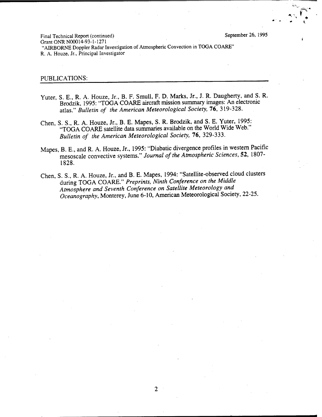**r\***

Final Technical Report (continued) September 26, 1995 Grant ONR N00014-93-1-1271 "AIRBORNE Doppler Radar Investigation of Atmospheric Convection in TOGA COARE" R. A. Houze, Jr., Principal Investigator

#### PUBLICATIONS:

- Yuter, S. E., R. A. Houze, Jr., B. F. Smull, F. D. Marks, Jr., J. R. Daugherty, and S. R. Brodzik, 1995: 'TOGA COARE aircraft mission summary images: An electronic atlas." *Bulletin of the American Meteorological Society,* 76, 319-328.
- Chen, S. S., R. A. Houze, Jr., B. E. Mapes, S. R. Brodzik, and S. E. Yuter, 1995: "TOGA COARE satellite data summaries available on the World Wide Web." *Bulletin of the American Meteorological Society,* 76, 329-333.
- Mapes, B. E., and R. A. Houze, Jr., 1995: "Diabatic divergence profiles in western Pacific mesoscale convective systems." *Journal of the Atmospheric Sciences,* 52, 1807- 1828.
- Chen, S. S., R. A. Houze, Jr., and B. E. Mapes, 1994: "Satellite-observed cloud clusters during TOGA COARE." *Preprints, Ninth Conference on the Middle Atmosphere and Seventh Conference on Satellite Meteorology and Oceanography,* Monterey, June 6-10, American Meteorological Society, 22-25.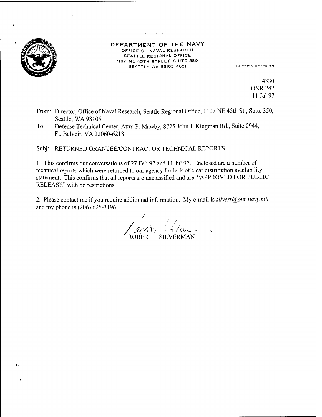

#### DEPARTMENT OF THE NAVY OFFICE OF NAVAL RESEARCH SEATTLE REGIONAL OFFICE 1107 NE 45TH STREET. SUITE 350 SEATTLE WA 98105-4631 IN REPLY REFER TO:

4330 ONR 247 11 Jul 97

- From: Director, Office of Naval Research, Seattle Regional Office, 1107 NE 45th St., Suite 350, Seattle, WA 98105
- To: Defense Technical Center, Atta: P. Mawby, 8725 John J. Kingman Rd., Suite 0944, Ft. Belvoir,VA 22060-6218

Subj: RETURNED GRANTEE/CONTRACTOR TECHNICAL REPORTS

1. This confirms our conversations of 27 Feb 97 and <sup>11</sup> Jul 97. Enclosed are a number of technical reports which were returned to our agency for lack of clear distribution availability statement. This confirms that all reports are unclassified and are "APPROVED FOR PUBLIC RELEASE" with no restrictions.

2. Please contact me if you require additional information. My e-mail is *silverr@onr.navy.mil* and my phone is (206) 625-3196.

 $\lambda/\lambda$  alue ROBERT J. SILVERMAN